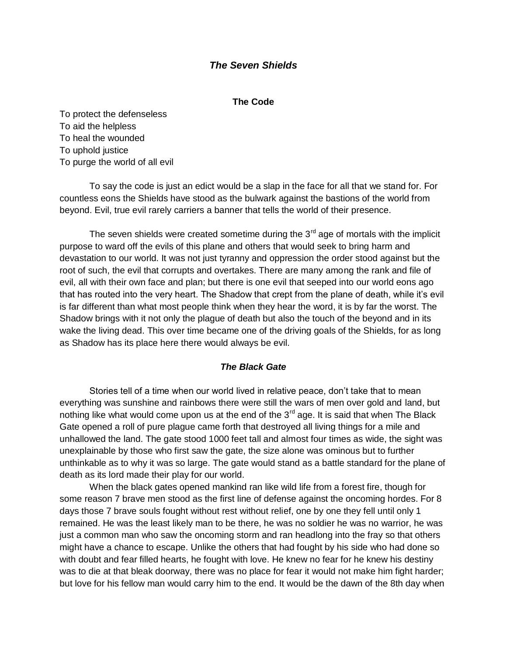# *The Seven Shields*

#### **The Code**

To protect the defenseless To aid the helpless To heal the wounded To uphold justice To purge the world of all evil

To say the code is just an edict would be a slap in the face for all that we stand for. For countless eons the Shields have stood as the bulwark against the bastions of the world from beyond. Evil, true evil rarely carriers a banner that tells the world of their presence.

The seven shields were created sometime during the  $3<sup>rd</sup>$  age of mortals with the implicit purpose to ward off the evils of this plane and others that would seek to bring harm and devastation to our world. It was not just tyranny and oppression the order stood against but the root of such, the evil that corrupts and overtakes. There are many among the rank and file of evil, all with their own face and plan; but there is one evil that seeped into our world eons ago that has routed into the very heart. The Shadow that crept from the plane of death, while it's evil is far different than what most people think when they hear the word, it is by far the worst. The Shadow brings with it not only the plague of death but also the touch of the beyond and in its wake the living dead. This over time became one of the driving goals of the Shields, for as long as Shadow has its place here there would always be evil.

## *The Black Gate*

Stories tell of a time when our world lived in relative peace, don't take that to mean everything was sunshine and rainbows there were still the wars of men over gold and land, but nothing like what would come upon us at the end of the  $3<sup>rd</sup>$  age. It is said that when The Black Gate opened a roll of pure plague came forth that destroyed all living things for a mile and unhallowed the land. The gate stood 1000 feet tall and almost four times as wide, the sight was unexplainable by those who first saw the gate, the size alone was ominous but to further unthinkable as to why it was so large. The gate would stand as a battle standard for the plane of death as its lord made their play for our world.

When the black gates opened mankind ran like wild life from a forest fire, though for some reason 7 brave men stood as the first line of defense against the oncoming hordes. For 8 days those 7 brave souls fought without rest without relief, one by one they fell until only 1 remained. He was the least likely man to be there, he was no soldier he was no warrior, he was just a common man who saw the oncoming storm and ran headlong into the fray so that others might have a chance to escape. Unlike the others that had fought by his side who had done so with doubt and fear filled hearts, he fought with love. He knew no fear for he knew his destiny was to die at that bleak doorway, there was no place for fear it would not make him fight harder; but love for his fellow man would carry him to the end. It would be the dawn of the 8th day when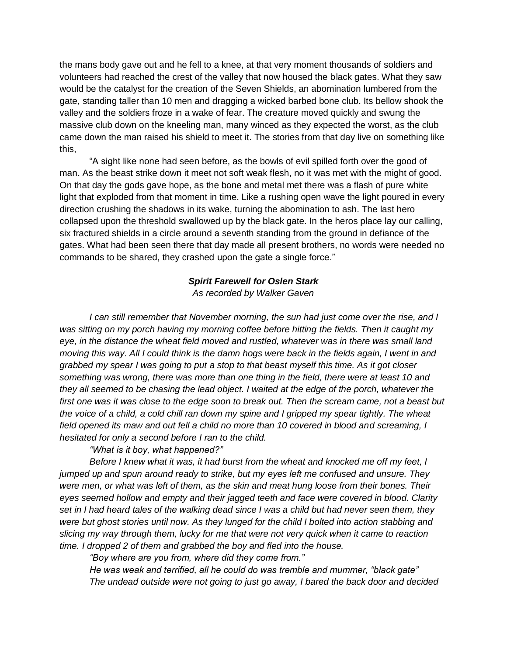the mans body gave out and he fell to a knee, at that very moment thousands of soldiers and volunteers had reached the crest of the valley that now housed the black gates. What they saw would be the catalyst for the creation of the Seven Shields, an abomination lumbered from the gate, standing taller than 10 men and dragging a wicked barbed bone club. Its bellow shook the valley and the soldiers froze in a wake of fear. The creature moved quickly and swung the massive club down on the kneeling man, many winced as they expected the worst, as the club came down the man raised his shield to meet it. The stories from that day live on something like this,

"A sight like none had seen before, as the bowls of evil spilled forth over the good of man. As the beast strike down it meet not soft weak flesh, no it was met with the might of good. On that day the gods gave hope, as the bone and metal met there was a flash of pure white light that exploded from that moment in time. Like a rushing open wave the light poured in every direction crushing the shadows in its wake, turning the abomination to ash. The last hero collapsed upon the threshold swallowed up by the black gate. In the heros place lay our calling, six fractured shields in a circle around a seventh standing from the ground in defiance of the gates. What had been seen there that day made all present brothers, no words were needed no commands to be shared, they crashed upon the gate a single force."

### *Spirit Farewell for Oslen Stark*

*As recorded by Walker Gaven*

 *I can still remember that November morning, the sun had just come over the rise, and I was sitting on my porch having my morning coffee before hitting the fields. Then it caught my eye, in the distance the wheat field moved and rustled, whatever was in there was small land moving this way. All I could think is the damn hogs were back in the fields again, I went in and grabbed my spear I was going to put a stop to that beast myself this time. As it got closer something was wrong, there was more than one thing in the field, there were at least 10 and they all seemed to be chasing the lead object. I waited at the edge of the porch, whatever the first one was it was close to the edge soon to break out. Then the scream came, not a beast but the voice of a child, a cold chill ran down my spine and I gripped my spear tightly. The wheat field opened its maw and out fell a child no more than 10 covered in blood and screaming, I hesitated for only a second before I ran to the child.*

 *"What is it boy, what happened?"*

 *Before I knew what it was, it had burst from the wheat and knocked me off my feet, I jumped up and spun around ready to strike, but my eyes left me confused and unsure. They were men, or what was left of them, as the skin and meat hung loose from their bones. Their eyes seemed hollow and empty and their jagged teeth and face were covered in blood. Clarity set in I had heard tales of the walking dead since I was a child but had never seen them, they were but ghost stories until now. As they lunged for the child I bolted into action stabbing and slicing my way through them, lucky for me that were not very quick when it came to reaction time. I dropped 2 of them and grabbed the boy and fled into the house.*

 *"Boy where are you from, where did they come from."*

 *He was weak and terrified, all he could do was tremble and mummer, "black gate" The undead outside were not going to just go away, I bared the back door and decided*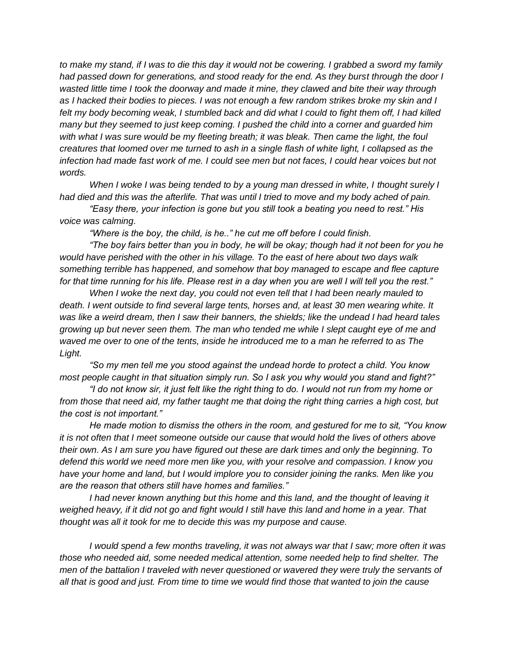*to make my stand, if I was to die this day it would not be cowering. I grabbed a sword my family had passed down for generations, and stood ready for the end. As they burst through the door I wasted little time I took the doorway and made it mine, they clawed and bite their way through as I hacked their bodies to pieces. I was not enough a few random strikes broke my skin and I felt my body becoming weak, I stumbled back and did what I could to fight them off, I had killed many but they seemed to just keep coming. I pushed the child into a corner and guarded him with what I was sure would be my fleeting breath; it was bleak. Then came the light, the foul creatures that loomed over me turned to ash in a single flash of white light, I collapsed as the infection had made fast work of me. I could see men but not faces, I could hear voices but not words.*

*When I woke I was being tended to by a young man dressed in white, I thought surely I had died and this was the afterlife. That was until I tried to move and my body ached of pain.*

 *"Easy there, your infection is gone but you still took a beating you need to rest." His voice was calming.*

 *"Where is the boy, the child, is he.." he cut me off before I could finish.*

 *"The boy fairs better than you in body, he will be okay; though had it not been for you he would have perished with the other in his village. To the east of here about two days walk something terrible has happened, and somehow that boy managed to escape and flee capture for that time running for his life. Please rest in a day when you are well I will tell you the rest."*

 *When I woke the next day, you could not even tell that I had been nearly mauled to death. I went outside to find several large tents, horses and, at least 30 men wearing white. It was like a weird dream, then I saw their banners, the shields; like the undead I had heard tales growing up but never seen them. The man who tended me while I slept caught eye of me and waved me over to one of the tents, inside he introduced me to a man he referred to as The Light.*

 *"So my men tell me you stood against the undead horde to protect a child. You know most people caught in that situation simply run. So I ask you why would you stand and fight?"*

 *"I do not know sir, it just felt like the right thing to do. I would not run from my home or from those that need aid, my father taught me that doing the right thing carries a high cost, but the cost is not important."*

 *He made motion to dismiss the others in the room, and gestured for me to sit, "You know it is not often that I meet someone outside our cause that would hold the lives of others above their own. As I am sure you have figured out these are dark times and only the beginning. To defend this world we need more men like you, with your resolve and compassion. I know you have your home and land, but I would implore you to consider joining the ranks. Men like you are the reason that others still have homes and families."*

 *I had never known anything but this home and this land, and the thought of leaving it weighed heavy, if it did not go and fight would I still have this land and home in a year. That thought was all it took for me to decide this was my purpose and cause.*

 *I would spend a few months traveling, it was not always war that I saw; more often it was those who needed aid, some needed medical attention, some needed help to find shelter. The men of the battalion I traveled with never questioned or wavered they were truly the servants of all that is good and just. From time to time we would find those that wanted to join the cause*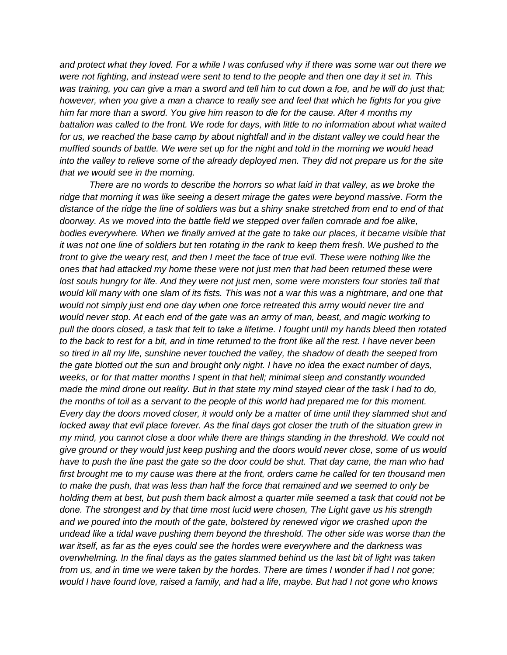*and protect what they loved. For a while I was confused why if there was some war out there we were not fighting, and instead were sent to tend to the people and then one day it set in. This was training, you can give a man a sword and tell him to cut down a foe, and he will do just that; however, when you give a man a chance to really see and feel that which he fights for you give him far more than a sword. You give him reason to die for the cause. After 4 months my battalion was called to the front. We rode for days, with little to no information about what waited*  for us, we reached the base camp by about nightfall and in the distant valley we could hear the *muffled sounds of battle. We were set up for the night and told in the morning we would head into the valley to relieve some of the already deployed men. They did not prepare us for the site that we would see in the morning.*

 *There are no words to describe the horrors so what laid in that valley, as we broke the ridge that morning it was like seeing a desert mirage the gates were beyond massive. Form the distance of the ridge the line of soldiers was but a shiny snake stretched from end to end of that doorway. As we moved into the battle field we stepped over fallen comrade and foe alike, bodies everywhere. When we finally arrived at the gate to take our places, it became visible that it was not one line of soldiers but ten rotating in the rank to keep them fresh. We pushed to the*  front to give the weary rest, and then I meet the face of true evil. These were nothing like the *ones that had attacked my home these were not just men that had been returned these were*  lost souls hungry for life. And they were not just men, some were monsters four stories tall that *would kill many with one slam of its fists. This was not a war this was a nightmare, and one that would not simply just end one day when one force retreated this army would never tire and would never stop. At each end of the gate was an army of man, beast, and magic working to pull the doors closed, a task that felt to take a lifetime. I fought until my hands bleed then rotated to the back to rest for a bit, and in time returned to the front like all the rest. I have never been so tired in all my life, sunshine never touched the valley, the shadow of death the seeped from the gate blotted out the sun and brought only night. I have no idea the exact number of days, weeks, or for that matter months I spent in that hell; minimal sleep and constantly wounded made the mind drone out reality. But in that state my mind stayed clear of the task I had to do, the months of toil as a servant to the people of this world had prepared me for this moment. Every day the doors moved closer, it would only be a matter of time until they slammed shut and locked away that evil place forever. As the final days got closer the truth of the situation grew in my mind, you cannot close a door while there are things standing in the threshold. We could not give ground or they would just keep pushing and the doors would never close, some of us would have to push the line past the gate so the door could be shut. That day came, the man who had*  first brought me to my cause was there at the front, orders came he called for ten thousand men *to make the push, that was less than half the force that remained and we seemed to only be holding them at best, but push them back almost a quarter mile seemed a task that could not be done. The strongest and by that time most lucid were chosen, The Light gave us his strength and we poured into the mouth of the gate, bolstered by renewed vigor we crashed upon the undead like a tidal wave pushing them beyond the threshold. The other side was worse than the war itself, as far as the eyes could see the hordes were everywhere and the darkness was overwhelming. In the final days as the gates slammed behind us the last bit of light was taken from us, and in time we were taken by the hordes. There are times I wonder if had I not gone; would I have found love, raised a family, and had a life, maybe. But had I not gone who knows*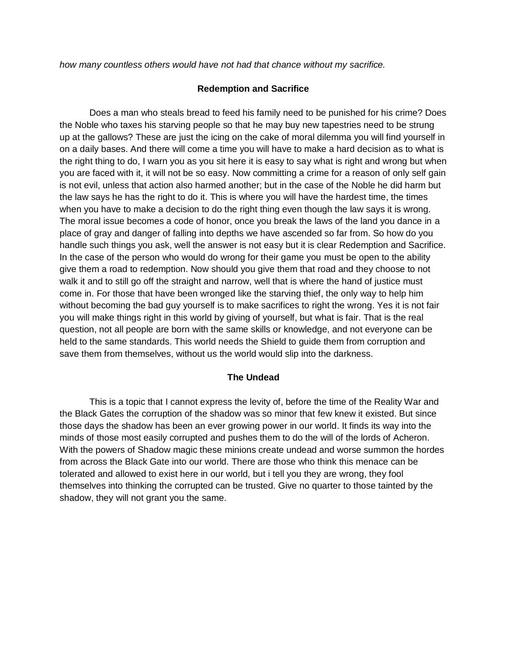*how many countless others would have not had that chance without my sacrifice.* 

### **Redemption and Sacrifice**

Does a man who steals bread to feed his family need to be punished for his crime? Does the Noble who taxes his starving people so that he may buy new tapestries need to be strung up at the gallows? These are just the icing on the cake of moral dilemma you will find yourself in on a daily bases. And there will come a time you will have to make a hard decision as to what is the right thing to do, I warn you as you sit here it is easy to say what is right and wrong but when you are faced with it, it will not be so easy. Now committing a crime for a reason of only self gain is not evil, unless that action also harmed another; but in the case of the Noble he did harm but the law says he has the right to do it. This is where you will have the hardest time, the times when you have to make a decision to do the right thing even though the law says it is wrong. The moral issue becomes a code of honor, once you break the laws of the land you dance in a place of gray and danger of falling into depths we have ascended so far from. So how do you handle such things you ask, well the answer is not easy but it is clear Redemption and Sacrifice. In the case of the person who would do wrong for their game you must be open to the ability give them a road to redemption. Now should you give them that road and they choose to not walk it and to still go off the straight and narrow, well that is where the hand of justice must come in. For those that have been wronged like the starving thief, the only way to help him without becoming the bad guy yourself is to make sacrifices to right the wrong. Yes it is not fair you will make things right in this world by giving of yourself, but what is fair. That is the real question, not all people are born with the same skills or knowledge, and not everyone can be held to the same standards. This world needs the Shield to guide them from corruption and save them from themselves, without us the world would slip into the darkness.

## **The Undead**

This is a topic that I cannot express the levity of, before the time of the Reality War and the Black Gates the corruption of the shadow was so minor that few knew it existed. But since those days the shadow has been an ever growing power in our world. It finds its way into the minds of those most easily corrupted and pushes them to do the will of the lords of Acheron. With the powers of Shadow magic these minions create undead and worse summon the hordes from across the Black Gate into our world. There are those who think this menace can be tolerated and allowed to exist here in our world, but i tell you they are wrong, they fool themselves into thinking the corrupted can be trusted. Give no quarter to those tainted by the shadow, they will not grant you the same.